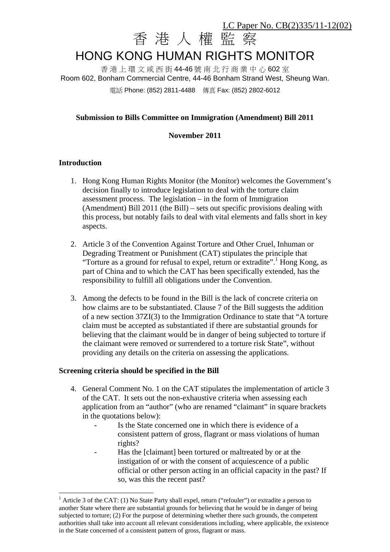# 香 港 人 權 監 察 HONG KONG HUMAN RIGHTS MONITOR LC Paper No. CB(2)335/11-12(02)

香 港 上 環 文 咸 西 街 44-46 號 南 北 行 商 業 中 心 602 室 Room 602, Bonham Commercial Centre, 44-46 Bonham Strand West, Sheung Wan. 電話 Phone: (852) 2811-4488 傳真 Fax: (852) 2802-6012

# **Submission to Bills Committee on Immigration (Amendment) Bill 2011**

#### **November 2011**

## **Introduction**

 $\overline{a}$ 

- 1. Hong Kong Human Rights Monitor (the Monitor) welcomes the Government's decision finally to introduce legislation to deal with the torture claim assessment process. The legislation – in the form of Immigration (Amendment) Bill 2011 (the Bill) – sets out specific provisions dealing with this process, but notably fails to deal with vital elements and falls short in key aspects.
- 2. Article 3 of the Convention Against Torture and Other Cruel, Inhuman or Degrading Treatment or Punishment (CAT) stipulates the principle that "Torture as a ground for refusal to expel, return or extradite".<sup>1</sup> Hong Kong, as part of China and to which the CAT has been specifically extended, has the responsibility to fulfill all obligations under the Convention.
- 3. Among the defects to be found in the Bill is the lack of concrete criteria on how claims are to be substantiated. Clause 7 of the Bill suggests the addition of a new section 37ZI(3) to the Immigration Ordinance to state that "A torture claim must be accepted as substantiated if there are substantial grounds for believing that the claimant would be in danger of being subjected to torture if the claimant were removed or surrendered to a torture risk State", without providing any details on the criteria on assessing the applications.

#### **Screening criteria should be specified in the Bill**

- 4. General Comment No. 1 on the CAT stipulates the implementation of article 3 of the CAT. It sets out the non-exhaustive criteria when assessing each application from an "author" (who are renamed "claimant" in square brackets in the quotations below):
	- Is the State concerned one in which there is evidence of a consistent pattern of gross, flagrant or mass violations of human rights?
	- Has the [claimant] been tortured or maltreated by or at the instigation of or with the consent of acquiescence of a public official or other person acting in an official capacity in the past? If so, was this the recent past?

 $<sup>1</sup>$  Article 3 of the CAT: (1) No State Party shall expel, return ("refouler") or extradite a person to</sup> another State where there are substantial grounds for believing that he would be in danger of being subjected to torture; (2) For the purpose of determining whether there such grounds, the competent authorities shall take into account all relevant considerations including, where applicable, the existence in the State concerned of a consistent pattern of gross, flagrant or mass.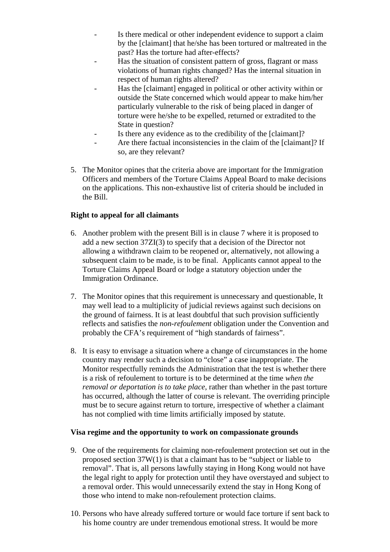- Is there medical or other independent evidence to support a claim by the [claimant] that he/she has been tortured or maltreated in the past? Has the torture had after-effects?
- Has the situation of consistent pattern of gross, flagrant or mass violations of human rights changed? Has the internal situation in respect of human rights altered?
- Has the [claimant] engaged in political or other activity within or outside the State concerned which would appear to make him/her particularly vulnerable to the risk of being placed in danger of torture were he/she to be expelled, returned or extradited to the State in question?
- Is there any evidence as to the credibility of the [claimant]?
- Are there factual inconsistencies in the claim of the [claimant]? If so, are they relevant?
- 5. The Monitor opines that the criteria above are important for the Immigration Officers and members of the Torture Claims Appeal Board to make decisions on the applications. This non-exhaustive list of criteria should be included in the Bill.

# **Right to appeal for all claimants**

- 6. Another problem with the present Bill is in clause 7 where it is proposed to add a new section 37ZI(3) to specify that a decision of the Director not allowing a withdrawn claim to be reopened or, alternatively, not allowing a subsequent claim to be made, is to be final. Applicants cannot appeal to the Torture Claims Appeal Board or lodge a statutory objection under the Immigration Ordinance.
- 7. The Monitor opines that this requirement is unnecessary and questionable, It may well lead to a multiplicity of judicial reviews against such decisions on the ground of fairness. It is at least doubtful that such provision sufficiently reflects and satisfies the *non-refoulement* obligation under the Convention and probably the CFA's requirement of "high standards of fairness".
- 8. It is easy to envisage a situation where a change of circumstances in the home country may render such a decision to "close" a case inappropriate. The Monitor respectfully reminds the Administration that the test is whether there is a risk of refoulement to torture is to be determined at the time *when the removal or deportation is to take place*, rather than whether in the past torture has occurred, although the latter of course is relevant. The overriding principle must be to secure against return to torture, irrespective of whether a claimant has not complied with time limits artificially imposed by statute.

#### **Visa regime and the opportunity to work on compassionate grounds**

- 9. One of the requirements for claiming non-refoulement protection set out in the proposed section 37W(1) is that a claimant has to be "subject or liable to removal". That is, all persons lawfully staying in Hong Kong would not have the legal right to apply for protection until they have overstayed and subject to a removal order. This would unnecessarily extend the stay in Hong Kong of those who intend to make non-refoulement protection claims.
- 10. Persons who have already suffered torture or would face torture if sent back to his home country are under tremendous emotional stress. It would be more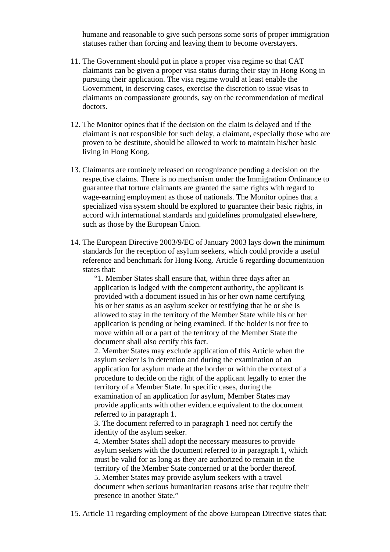humane and reasonable to give such persons some sorts of proper immigration statuses rather than forcing and leaving them to become overstayers.

- 11. The Government should put in place a proper visa regime so that CAT claimants can be given a proper visa status during their stay in Hong Kong in pursuing their application. The visa regime would at least enable the Government, in deserving cases, exercise the discretion to issue visas to claimants on compassionate grounds, say on the recommendation of medical doctors.
- 12. The Monitor opines that if the decision on the claim is delayed and if the claimant is not responsible for such delay, a claimant, especially those who are proven to be destitute, should be allowed to work to maintain his/her basic living in Hong Kong.
- 13. Claimants are routinely released on recognizance pending a decision on the respective claims. There is no mechanism under the Immigration Ordinance to guarantee that torture claimants are granted the same rights with regard to wage-earning employment as those of nationals. The Monitor opines that a specialized visa system should be explored to guarantee their basic rights, in accord with international standards and guidelines promulgated elsewhere, such as those by the European Union.
- 14. The European Directive 2003/9/EC of January 2003 lays down the minimum standards for the reception of asylum seekers, which could provide a useful reference and benchmark for Hong Kong. Article 6 regarding documentation states that:

"1. Member States shall ensure that, within three days after an application is lodged with the competent authority, the applicant is provided with a document issued in his or her own name certifying his or her status as an asylum seeker or testifying that he or she is allowed to stay in the territory of the Member State while his or her application is pending or being examined. If the holder is not free to move within all or a part of the territory of the Member State the document shall also certify this fact.

2. Member States may exclude application of this Article when the asylum seeker is in detention and during the examination of an application for asylum made at the border or within the context of a procedure to decide on the right of the applicant legally to enter the territory of a Member State. In specific cases, during the examination of an application for asylum, Member States may provide applicants with other evidence equivalent to the document referred to in paragraph 1.

3. The document referred to in paragraph 1 need not certify the identity of the asylum seeker.

4. Member States shall adopt the necessary measures to provide asylum seekers with the document referred to in paragraph 1, which must be valid for as long as they are authorized to remain in the territory of the Member State concerned or at the border thereof. 5. Member States may provide asylum seekers with a travel document when serious humanitarian reasons arise that require their presence in another State."

15. Article 11 regarding employment of the above European Directive states that: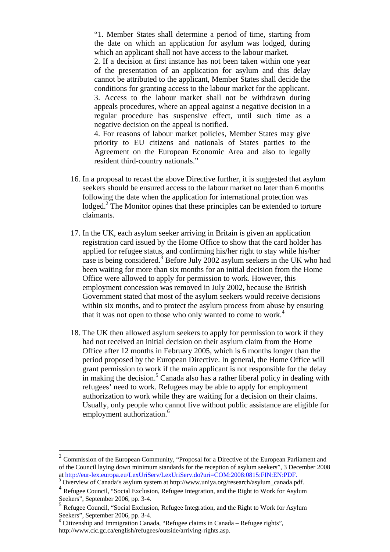"1. Member States shall determine a period of time, starting from the date on which an application for asylum was lodged, during which an applicant shall not have access to the labour market.

2. If a decision at first instance has not been taken within one year of the presentation of an application for asylum and this delay cannot be attributed to the applicant, Member States shall decide the conditions for granting access to the labour market for the applicant. 3. Access to the labour market shall not be withdrawn during appeals procedures, where an appeal against a negative decision in a regular procedure has suspensive effect, until such time as a negative decision on the appeal is notified.

4. For reasons of labour market policies, Member States may give priority to EU citizens and nationals of States parties to the Agreement on the European Economic Area and also to legally resident third-country nationals."

- 16. In a proposal to recast the above Directive further, it is suggested that asylum seekers should be ensured access to the labour market no later than 6 months following the date when the application for international protection was lodged.<sup>2</sup> The Monitor opines that these principles can be extended to torture claimants.
- 17. In the UK, each asylum seeker arriving in Britain is given an application registration card issued by the Home Office to show that the card holder has applied for refugee status, and confirming his/her right to stay while his/her case is being considered.<sup>3</sup> Before July 2002 asylum seekers in the UK who had been waiting for more than six months for an initial decision from the Home Office were allowed to apply for permission to work. However, this employment concession was removed in July 2002, because the British Government stated that most of the asylum seekers would receive decisions within six months, and to protect the asylum process from abuse by ensuring that it was not open to those who only wanted to come to work.<sup>4</sup>
- 18. The UK then allowed asylum seekers to apply for permission to work if they had not received an initial decision on their asylum claim from the Home Office after 12 months in February 2005, which is 6 months longer than the period proposed by the European Directive. In general, the Home Office will grant permission to work if the main applicant is not responsible for the delay in making the decision.<sup>5</sup> Canada also has a rather liberal policy in dealing with refugees' need to work. Refugees may be able to apply for employment authorization to work while they are waiting for a decision on their claims. Usually, only people who cannot live without public assistance are eligible for employment authorization.<sup>6</sup>

 $\overline{a}$ 

<sup>&</sup>lt;sup>2</sup> Commission of the European Community, "Proposal for a Directive of the European Parliament and of the Council laying down minimum standards for the reception of asylum seekers", 3 December 2008 at http://eur-lex.europa.eu/LexUriServ/LexUriServ.do?uri=COM:2008:0815:FIN:EN:PDF. <sup>3</sup>

<sup>&</sup>lt;sup>3</sup> Overview of Canada's asylum system at http://www.uniya.org/research/asylum\_canada.pdf.

<sup>4</sup> Refugee Council, "Social Exclusion, Refugee Integration, and the Right to Work for Asylum Seekers", September 2006, pp. 3-4.

<sup>5</sup> Refugee Council, "Social Exclusion, Refugee Integration, and the Right to Work for Asylum Seekers", September 2006, pp. 3-4.

<sup>&</sup>lt;sup>6</sup> Citizenship and Immigration Canada, "Refugee claims in Canada - Refugee rights", http://www.cic.gc.ca/english/refugees/outside/arriving-rights.asp.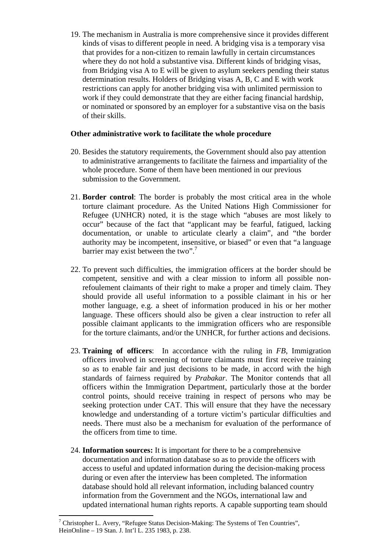19. The mechanism in Australia is more comprehensive since it provides different kinds of visas to different people in need. A bridging visa is a temporary visa that provides for a non-citizen to remain lawfully in certain circumstances where they do not hold a substantive visa. Different kinds of bridging visas, from Bridging visa A to E will be given to asylum seekers pending their status determination results. Holders of Bridging visas A, B, C and E with work restrictions can apply for another bridging visa with unlimited permission to work if they could demonstrate that they are either facing financial hardship, or nominated or sponsored by an employer for a substantive visa on the basis of their skills.

## **Other administrative work to facilitate the whole procedure**

- 20. Besides the statutory requirements, the Government should also pay attention to administrative arrangements to facilitate the fairness and impartiality of the whole procedure. Some of them have been mentioned in our previous submission to the Government.
- 21. **Border control**: The border is probably the most critical area in the whole torture claimant procedure. As the United Nations High Commissioner for Refugee (UNHCR) noted, it is the stage which "abuses are most likely to occur" because of the fact that "applicant may be fearful, fatigued, lacking documentation, or unable to articulate clearly a claim", and "the border authority may be incompetent, insensitive, or biased" or even that "a language barrier may exist between the two".<sup>7</sup>
- 22. To prevent such difficulties, the immigration officers at the border should be competent, sensitive and with a clear mission to inform all possible nonrefoulement claimants of their right to make a proper and timely claim. They should provide all useful information to a possible claimant in his or her mother language, e.g. a sheet of information produced in his or her mother language. These officers should also be given a clear instruction to refer all possible claimant applicants to the immigration officers who are responsible for the torture claimants, and/or the UNHCR, for further actions and decisions.
- 23. **Training of officers**: In accordance with the ruling in *FB*, Immigration officers involved in screening of torture claimants must first receive training so as to enable fair and just decisions to be made, in accord with the high standards of fairness required by *Prabakar*. The Monitor contends that all officers within the Immigration Department, particularly those at the border control points, should receive training in respect of persons who may be seeking protection under CAT. This will ensure that they have the necessary knowledge and understanding of a torture victim's particular difficulties and needs. There must also be a mechanism for evaluation of the performance of the officers from time to time.
- 24. **Information sources:** It is important for there to be a comprehensive documentation and information database so as to provide the officers with access to useful and updated information during the decision-making process during or even after the interview has been completed. The information database should hold all relevant information, including balanced country information from the Government and the NGOs, international law and updated international human rights reports. A capable supporting team should

 $\overline{a}$ 

<sup>&</sup>lt;sup>7</sup> Christopher L. Avery, "Refugee Status Decision-Making: The Systems of Ten Countries", HeinOnline – 19 Stan. J. Int'l L. 235 1983, p. 238.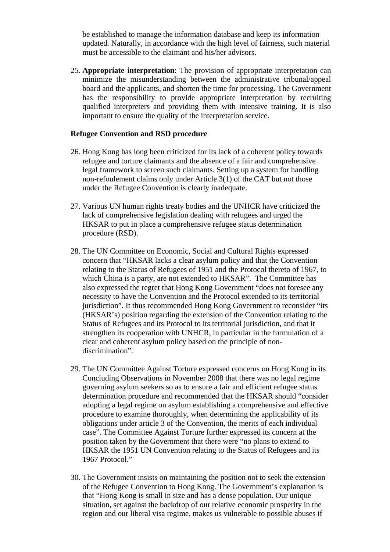be established to manage the information database and keep its information updated. Naturally, in accordance with the high level of fairness, such material must be accessible to the claimant and his/her advisors.

25. **Appropriate interpretation**: The provision of appropriate interpretation can minimize the misunderstanding between the administrative tribunal/appeal board and the applicants, and shorten the time for processing. The Government has the responsibility to provide appropriate interpretation by recruiting qualified interpreters and providing them with intensive training. It is also important to ensure the quality of the interpretation service.

#### **Refugee Convention and RSD procedure**

- 26. Hong Kong has long been criticized for its lack of a coherent policy towards refugee and torture claimants and the absence of a fair and comprehensive legal framework to screen such claimants. Setting up a system for handling non-refoulement claims only under Article 3(1) of the CAT but not those under the Refugee Convention is clearly inadequate.
- 27. Various UN human rights treaty bodies and the UNHCR have criticized the lack of comprehensive legislation dealing with refugees and urged the HKSAR to put in place a comprehensive refugee status determination procedure (RSD).
- 28. The UN Committee on Economic, Social and Cultural Rights expressed concern that "HKSAR lacks a clear asylum policy and that the Convention relating to the Status of Refugees of 1951 and the Protocol thereto of 1967, to which China is a party, are not extended to HKSAR". The Committee has also expressed the regret that Hong Kong Government "does not foresee any necessity to have the Convention and the Protocol extended to its territorial jurisdiction". It thus recommended Hong Kong Government to reconsider "its (HKSAR's) position regarding the extension of the Convention relating to the Status of Refugees and its Protocol to its territorial jurisdiction, and that it strengthen its cooperation with UNHCR, in particular in the formulation of a clear and coherent asylum policy based on the principle of nondiscrimination".
- 29. The UN Committee Against Torture expressed concerns on Hong Kong in its Concluding Observations in November 2008 that there was no legal regime governing asylum seekers so as to ensure a fair and efficient refugee status determination procedure and recommended that the HKSAR should "consider adopting a legal regime on asylum establishing a comprehensive and effective procedure to examine thoroughly, when determining the applicability of its obligations under article 3 of the Convention, the merits of each individual case". The Committee Against Torture further expressed its concern at the position taken by the Government that there were "no plans to extend to HKSAR the 1951 UN Convention relating to the Status of Refugees and its 1967 Protocol."
- 30. The Government insists on maintaining the position not to seek the extension of the Refugee Convention to Hong Kong. The Government's explanation is that "Hong Kong is small in size and has a dense population. Our unique situation, set against the backdrop of our relative economic prosperity in the region and our liberal visa regime, makes us vulnerable to possible abuses if